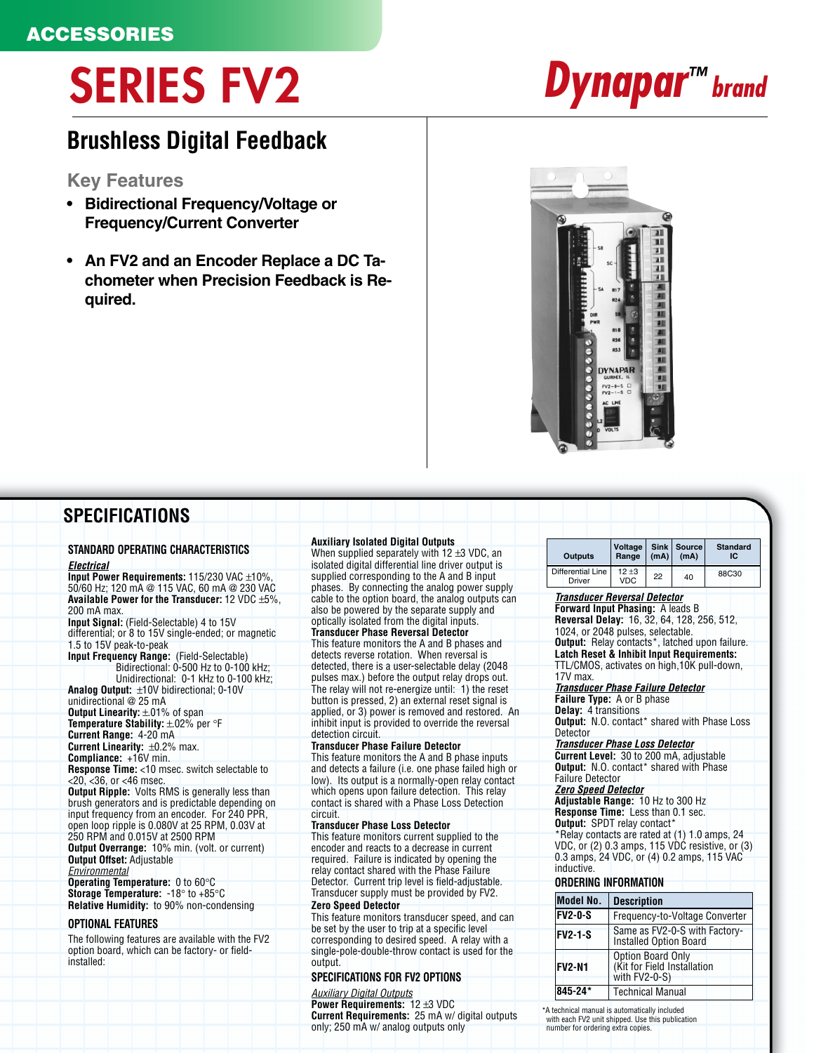# **SERIES FV2 Dynapar™ brand**

## **Brushless Digital Feedback**

**Key Features**

- **Bidirectional Frequency/Voltage or Frequency/Current Converter**
- **An FV2 and an Encoder Replace a DC Tachometer when Precision Feedback is Required.**



### **SPECIFICATIONS**

#### **STANDARD OPERATING CHARACTERISTICS Electrical**

**Input Power Requirements:** 115/230 VAC ±10%, 50/60 Hz; 120 mA @ 115 VAC, 60 mA @ 230 VAC **Available Power for the Transducer:** 12 VDC ±5%, 200 mA max. **Input Signal:** (Field-Selectable) 4 to 15V differential; or 8 to 15V single-ended; or magnetic 1.5 to 15V peak-to-peak

**Input Frequency Range:** (Field-Selectable) Bidirectional: 0-500 Hz to 0-100 kHz;

Unidirectional: 0-1 kHz to 0-100 kHz; **Analog Output:** ±10V bidirectional; 0-10V unidirectional @ 25 mA

**Output Linearity:**  $\pm$ **.01% of span Temperature Stability:** ±.02% per °F

**Current Range:** 4-20 mA **Current Linearity:** ±0.2% max.

**Compliance:** +16V min.

**Response Time:** <10 msec. switch selectable to <20, <36, or <46 msec.

**Output Ripple:** Volts RMS is generally less than brush generators and is predictable depending on input frequency from an encoder. For 240 PPR, open loop ripple is 0.080V at 25 RPM, 0.03V at 250 RPM and 0.015V at 2500 RPM

**Output Overrange:** 10% min. (volt. or current) **Output Offset:** Adjustable

**Environmental Operating Temperature:** 0 to 60°C **Storage Temperature:** -18° to +85°C **Relative Humidity:** to 90% non-condensing

#### **OPTIONAL FEATURES**

The following features are available with the FV2 option board, which can be factory- or fieldinstalled:

#### **Auxiliary Isolated Digital Outputs**

When supplied separately with 12 ±3 VDC, an isolated digital differential line driver output is supplied corresponding to the A and B input phases. By connecting the analog power supply cable to the option board, the analog outputs can also be powered by the separate supply and optically isolated from the digital inputs.

**Transducer Phase Reversal Detector** This feature monitors the A and B phases and detects reverse rotation. When reversal is detected, there is a user-selectable delay (2048 pulses max.) before the output relay drops out. The relay will not re-energize until: 1) the reset button is pressed, 2) an external reset signal is applied, or 3) power is removed and restored. An inhibit input is provided to override the reversal detection circuit.

#### **Transducer Phase Failure Detector**

This feature monitors the A and B phase inputs and detects a failure (i.e. one phase failed high or low). Its output is a normally-open relay contact which opens upon failure detection. This relay contact is shared with a Phase Loss Detection circuit.

#### **Transducer Phase Loss Detector**

This feature monitors current supplied to the encoder and reacts to a decrease in current required. Failure is indicated by opening the relay contact shared with the Phase Failure Detector. Current trip level is field-adjustable. Transducer supply must be provided by FV2. **Zero Speed Detector**

This feature monitors transducer speed, and can be set by the user to trip at a specific level corresponding to desired speed. A relay with a single-pole-double-throw contact is used for the output.

#### **SPECIFICATIONS FOR FV2 OPTIONS**

#### Auxiliary Digital Outputs

**Power Requirements:** 12 ±3 VDC **Current Requirements:** 25 mA w/ digital outputs only; 250 mA w/ analog outputs only

| <b>Outputs</b>                     | Voltage<br>Range         | (mA) | Sink   Source<br>(mA) | <b>Standard</b><br>ΙC |
|------------------------------------|--------------------------|------|-----------------------|-----------------------|
| <b>Differential Line</b><br>Driver | $12 \pm 3$<br><b>VDC</b> | 22   | 40                    | 88C30                 |

#### **Transducer Reversal Detector**

**Forward Input Phasing:** A leads B

**Reversal Delay:** 16, 32, 64, 128, 256, 512, 1024, or 2048 pulses, selectable.

**Output:** Relay contacts\*, latched upon failure. **Latch Reset & Inhibit Input Requirements:** TTL/CMOS, activates on high,10K pull-down,

#### 17V max. **Transducer Phase Failure Detector**

**Failure Type:** A or B phase

**Delay:** 4 transitions

**Output:** N.O. contact\* shared with Phase Loss **Detector** 

#### **Transducer Phase Loss Detector**

**Current Level:** 30 to 200 mA, adjustable **Output:** N.O. contact\* shared with Phase Failure Detector

#### **Zero Speed Detector**

**Adjustable Range:** 10 Hz to 300 Hz **Response Time:** Less than 0.1 sec.

**Output:** SPDT relay contact\*

\*Relay contacts are rated at (1) 1.0 amps, 24 VDC, or (2) 0.3 amps, 115 VDC resistive, or (3) 0.3 amps, 24 VDC, or (4) 0.2 amps, 115 VAC inductive.

#### **ORDERING INFORMATION**

| Model No.      | <b>Description</b>                                                |
|----------------|-------------------------------------------------------------------|
| <b>FV2-0-S</b> | Frequency-to-Voltage Converter                                    |
| <b>FV2-1-S</b> | Same as FV2-0-S with Factory-<br>Installed Option Board           |
| <b>FV2-N1</b>  | Option Board Only<br>(Kit for Field Installation<br>with FV2-0-S) |
| 845-24*        | <b>Technical Manual</b>                                           |

\*A technical manual is automatically included with each FV2 unit shipped. Use this publication number for ordering extra copies.